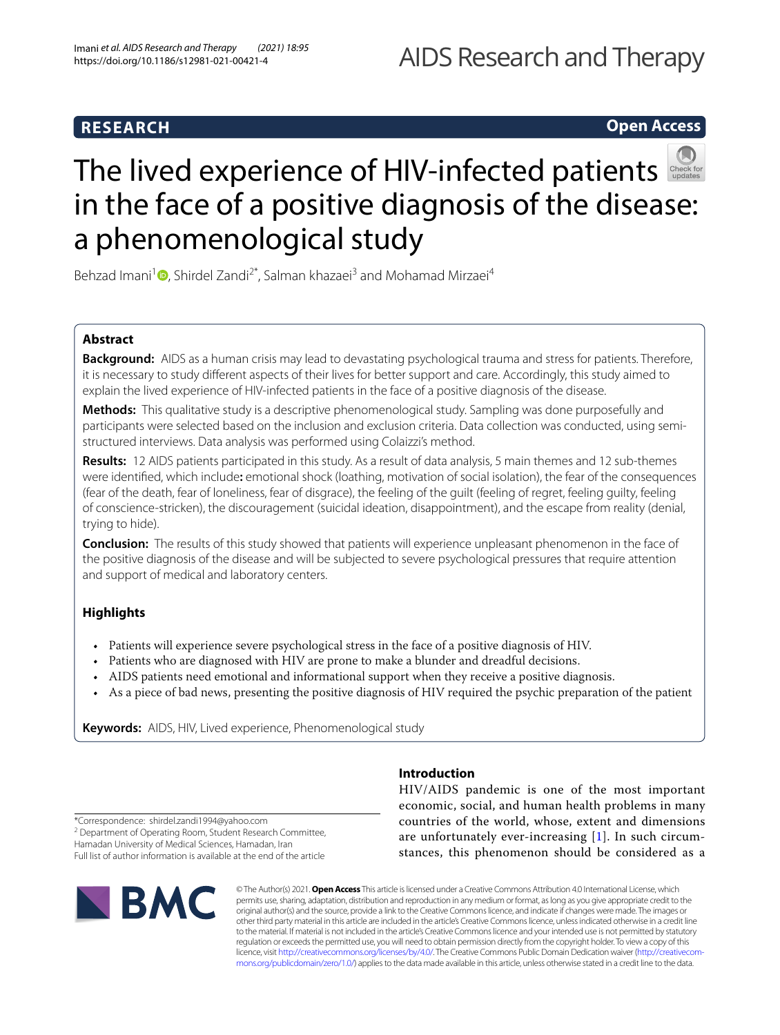# **RESEARCH**

# **Open Access**



# Thelived experience of HIV-infected patients in the face of a positive diagnosis of the disease: a phenomenological study

Behzad Imani<sup>1</sup> [,](http://orcid.org/0000-0002-1544-8196) Shirdel Zandi<sup>2\*</sup>, Salman khazaei<sup>3</sup> and Mohamad Mirzaei<sup>4</sup>

# **Abstract**

**Background:** AIDS as a human crisis may lead to devastating psychological trauma and stress for patients. Therefore, it is necessary to study diferent aspects of their lives for better support and care. Accordingly, this study aimed to explain the lived experience of HIV-infected patients in the face of a positive diagnosis of the disease.

**Methods:** This qualitative study is a descriptive phenomenological study. Sampling was done purposefully and participants were selected based on the inclusion and exclusion criteria. Data collection was conducted, using semistructured interviews. Data analysis was performed using Colaizzi's method.

**Results:** 12 AIDS patients participated in this study. As a result of data analysis, 5 main themes and 12 sub-themes were identifed, which include**:** emotional shock (loathing, motivation of social isolation), the fear of the consequences (fear of the death, fear of loneliness, fear of disgrace), the feeling of the guilt (feeling of regret, feeling guilty, feeling of conscience-stricken), the discouragement (suicidal ideation, disappointment), and the escape from reality (denial, trying to hide).

**Conclusion:** The results of this study showed that patients will experience unpleasant phenomenon in the face of the positive diagnosis of the disease and will be subjected to severe psychological pressures that require attention and support of medical and laboratory centers.

# **Highlights**

- Patients will experience severe psychological stress in the face of a positive diagnosis of HIV.
- Patients who are diagnosed with HIV are prone to make a blunder and dreadful decisions.
- AIDS patients need emotional and informational support when they receive a positive diagnosis.
- As a piece of bad news, presenting the positive diagnosis of HIV required the psychic preparation of the patient

**Keywords:** AIDS, HIV, Lived experience, Phenomenological study

# **Introduction**

HIV/AIDS pandemic is one of the most important economic, social, and human health problems in many countries of the world, whose, extent and dimensions are unfortunately ever-increasing [[1](#page-6-0)]. In such circumstances, this phenomenon should be considered as a

\*Correspondence: shirdel.zandi1994@yahoo.com <sup>2</sup> Department of Operating Room, Student Research Committee, Hamadan University of Medical Sciences, Hamadan, Iran Full list of author information is available at the end of the article



© The Author(s) 2021. **Open Access** This article is licensed under a Creative Commons Attribution 4.0 International License, which permits use, sharing, adaptation, distribution and reproduction in any medium or format, as long as you give appropriate credit to the original author(s) and the source, provide a link to the Creative Commons licence, and indicate if changes were made. The images or other third party material in this article are included in the article's Creative Commons licence, unless indicated otherwise in a credit line to the material. If material is not included in the article's Creative Commons licence and your intended use is not permitted by statutory regulation or exceeds the permitted use, you will need to obtain permission directly from the copyright holder. To view a copy of this licence, visit [http://creativecommons.org/licenses/by/4.0/.](http://creativecommons.org/licenses/by/4.0/) The Creative Commons Public Domain Dedication waiver ([http://creativecom](http://creativecommons.org/publicdomain/zero/1.0/)[mons.org/publicdomain/zero/1.0/\)](http://creativecommons.org/publicdomain/zero/1.0/) applies to the data made available in this article, unless otherwise stated in a credit line to the data.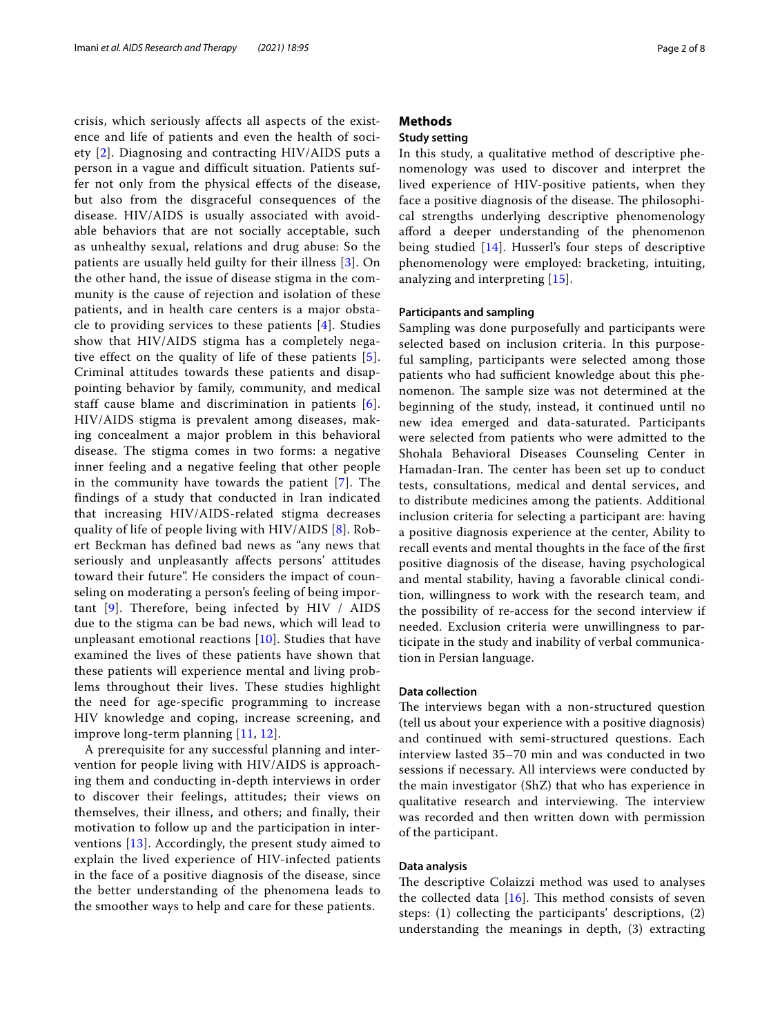crisis, which seriously affects all aspects of the existence and life of patients and even the health of society [\[2\]](#page-6-1). Diagnosing and contracting HIV/AIDS puts a person in a vague and difficult situation. Patients suffer not only from the physical effects of the disease, but also from the disgraceful consequences of the disease. HIV/AIDS is usually associated with avoidable behaviors that are not socially acceptable, such as unhealthy sexual, relations and drug abuse: So the patients are usually held guilty for their illness [\[3](#page-6-2)]. On the other hand, the issue of disease stigma in the community is the cause of rejection and isolation of these patients, and in health care centers is a major obstacle to providing services to these patients [\[4](#page-6-3)]. Studies show that HIV/AIDS stigma has a completely negative effect on the quality of life of these patients [[5\]](#page-6-4). Criminal attitudes towards these patients and disappointing behavior by family, community, and medical staff cause blame and discrimination in patients [[6\]](#page-6-5). HIV/AIDS stigma is prevalent among diseases, making concealment a major problem in this behavioral disease. The stigma comes in two forms: a negative inner feeling and a negative feeling that other people in the community have towards the patient [[7\]](#page-6-6). The findings of a study that conducted in Iran indicated that increasing HIV/AIDS-related stigma decreases quality of life of people living with HIV/AIDS [[8\]](#page-6-7). Robert Beckman has defined bad news as "any news that seriously and unpleasantly affects persons' attitudes toward their future". He considers the impact of counseling on moderating a person's feeling of being important  $[9]$  $[9]$ . Therefore, being infected by HIV / AIDS due to the stigma can be bad news, which will lead to unpleasant emotional reactions  $[10]$  $[10]$  $[10]$ . Studies that have examined the lives of these patients have shown that these patients will experience mental and living problems throughout their lives. These studies highlight the need for age-specific programming to increase HIV knowledge and coping, increase screening, and improve long-term planning [[11,](#page-6-10) [12\]](#page-6-11).

A prerequisite for any successful planning and intervention for people living with HIV/AIDS is approaching them and conducting in-depth interviews in order to discover their feelings, attitudes; their views on themselves, their illness, and others; and finally, their motivation to follow up and the participation in interventions [\[13\]](#page-6-12). Accordingly, the present study aimed to explain the lived experience of HIV-infected patients in the face of a positive diagnosis of the disease, since the better understanding of the phenomena leads to the smoother ways to help and care for these patients.

# **Methods**

# **Study setting**

In this study, a qualitative method of descriptive phenomenology was used to discover and interpret the lived experience of HIV-positive patients, when they face a positive diagnosis of the disease. The philosophical strengths underlying descriptive phenomenology aford a deeper understanding of the phenomenon being studied [[14\]](#page-6-13). Husserl's four steps of descriptive phenomenology were employed: bracketing, intuiting, analyzing and interpreting [[15\]](#page-6-14).

#### **Participants and sampling**

Sampling was done purposefully and participants were selected based on inclusion criteria. In this purposeful sampling, participants were selected among those patients who had sufficient knowledge about this phenomenon. The sample size was not determined at the beginning of the study, instead, it continued until no new idea emerged and data-saturated. Participants were selected from patients who were admitted to the Shohala Behavioral Diseases Counseling Center in Hamadan-Iran. The center has been set up to conduct tests, consultations, medical and dental services, and to distribute medicines among the patients. Additional inclusion criteria for selecting a participant are: having a positive diagnosis experience at the center, Ability to recall events and mental thoughts in the face of the frst positive diagnosis of the disease, having psychological and mental stability, having a favorable clinical condition, willingness to work with the research team, and the possibility of re-access for the second interview if needed. Exclusion criteria were unwillingness to participate in the study and inability of verbal communication in Persian language.

# **Data collection**

The interviews began with a non-structured question (tell us about your experience with a positive diagnosis) and continued with semi-structured questions. Each interview lasted 35–70 min and was conducted in two sessions if necessary. All interviews were conducted by the main investigator (ShZ) that who has experience in qualitative research and interviewing. The interview was recorded and then written down with permission of the participant.

# **Data analysis**

The descriptive Colaizzi method was used to analyses the collected data  $[16]$  $[16]$ . This method consists of seven steps: (1) collecting the participants' descriptions, (2) understanding the meanings in depth, (3) extracting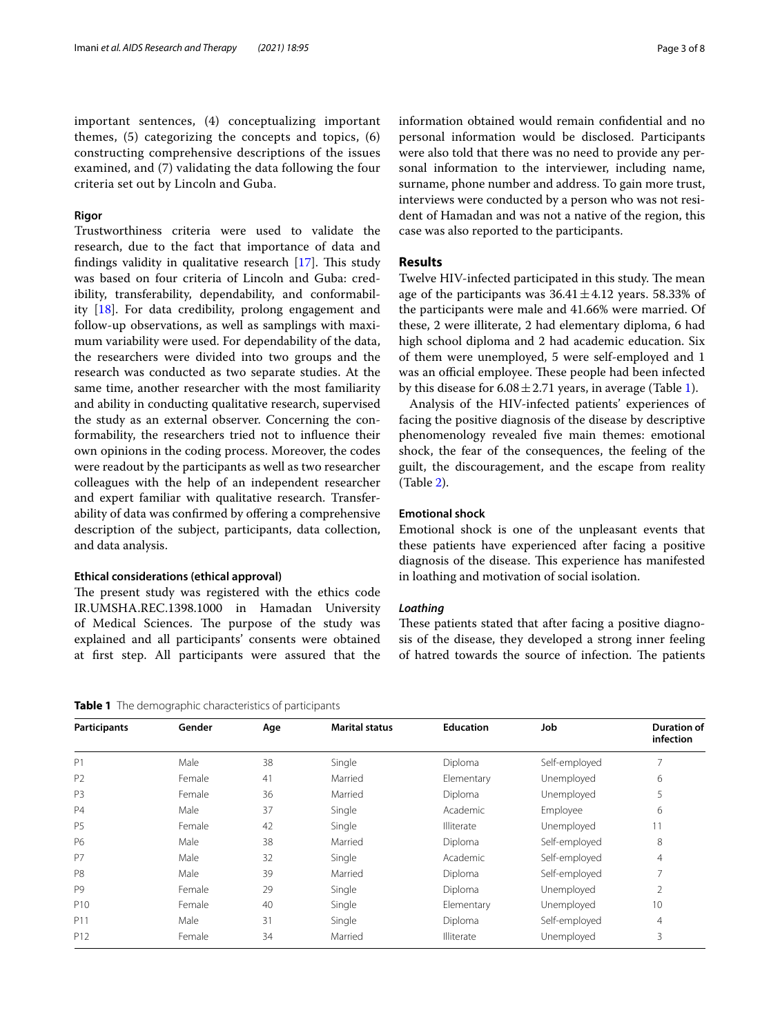important sentences, (4) conceptualizing important themes, (5) categorizing the concepts and topics, (6) constructing comprehensive descriptions of the issues examined, and (7) validating the data following the four criteria set out by Lincoln and Guba.

# **Rigor**

Trustworthiness criteria were used to validate the research, due to the fact that importance of data and findings validity in qualitative research  $[17]$  $[17]$ . This study was based on four criteria of Lincoln and Guba: credibility, transferability, dependability, and conformability [\[18\]](#page-6-17). For data credibility, prolong engagement and follow-up observations, as well as samplings with maximum variability were used. For dependability of the data, the researchers were divided into two groups and the research was conducted as two separate studies. At the same time, another researcher with the most familiarity and ability in conducting qualitative research, supervised the study as an external observer. Concerning the conformability, the researchers tried not to infuence their own opinions in the coding process. Moreover, the codes were readout by the participants as well as two researcher colleagues with the help of an independent researcher and expert familiar with qualitative research. Transferability of data was confrmed by ofering a comprehensive description of the subject, participants, data collection, and data analysis.

# **Ethical considerations (ethical approval)**

The present study was registered with the ethics code IR.UMSHA.REC.1398.1000 in Hamadan University of Medical Sciences. The purpose of the study was explained and all participants' consents were obtained at frst step. All participants were assured that the information obtained would remain confdential and no personal information would be disclosed. Participants were also told that there was no need to provide any personal information to the interviewer, including name, surname, phone number and address. To gain more trust, interviews were conducted by a person who was not resident of Hamadan and was not a native of the region, this case was also reported to the participants.

# **Results**

Twelve HIV-infected participated in this study. The mean age of the participants was  $36.41 \pm 4.12$  years. 58.33% of the participants were male and 41.66% were married. Of these, 2 were illiterate, 2 had elementary diploma, 6 had high school diploma and 2 had academic education. Six of them were unemployed, 5 were self-employed and 1 was an official employee. These people had been infected by this disease for  $6.08 \pm 2.71$  years, in average (Table [1](#page-2-0)).

Analysis of the HIV-infected patients' experiences of facing the positive diagnosis of the disease by descriptive phenomenology revealed fve main themes: emotional shock, the fear of the consequences, the feeling of the guilt, the discouragement, and the escape from reality (Table [2\)](#page-3-0).

# **Emotional shock**

Emotional shock is one of the unpleasant events that these patients have experienced after facing a positive diagnosis of the disease. This experience has manifested in loathing and motivation of social isolation.

# *Loathing*

These patients stated that after facing a positive diagnosis of the disease, they developed a strong inner feeling of hatred towards the source of infection. The patients

<span id="page-2-0"></span>**Table 1** The demographic characteristics of participants

| Participants    | Gender | Age | <b>Marital status</b> | <b>Education</b>  | Job           | Duration of<br>infection |
|-----------------|--------|-----|-----------------------|-------------------|---------------|--------------------------|
| P <sub>1</sub>  | Male   | 38  | Single                | Diploma           | Self-employed | 7                        |
| P <sub>2</sub>  | Female | 41  | Married               | Elementary        | Unemployed    | 6                        |
| P <sub>3</sub>  | Female | 36  | Married               | Diploma           | Unemployed    | 5                        |
| <b>P4</b>       | Male   | 37  | Single                | Academic          | Employee      | 6                        |
| <b>P5</b>       | Female | 42  | Single                | <b>Illiterate</b> | Unemployed    | 11                       |
| P6              | Male   | 38  | Married               | Diploma           | Self-employed | 8                        |
| P7              | Male   | 32  | Single                | Academic          | Self-employed | $\overline{4}$           |
| P <sub>8</sub>  | Male   | 39  | Married               | Diploma           | Self-employed | 7                        |
| P <sub>9</sub>  | Female | 29  | Single                | Diploma           | Unemployed    | 2                        |
| P <sub>10</sub> | Female | 40  | Single                | Elementary        | Unemployed    | 10                       |
| P <sub>11</sub> | Male   | 31  | Single                | Diploma           | Self-employed | $\overline{4}$           |
| P <sub>12</sub> | Female | 34  | Married               | <b>Illiterate</b> | Unemployed    | 3                        |
|                 |        |     |                       |                   |               |                          |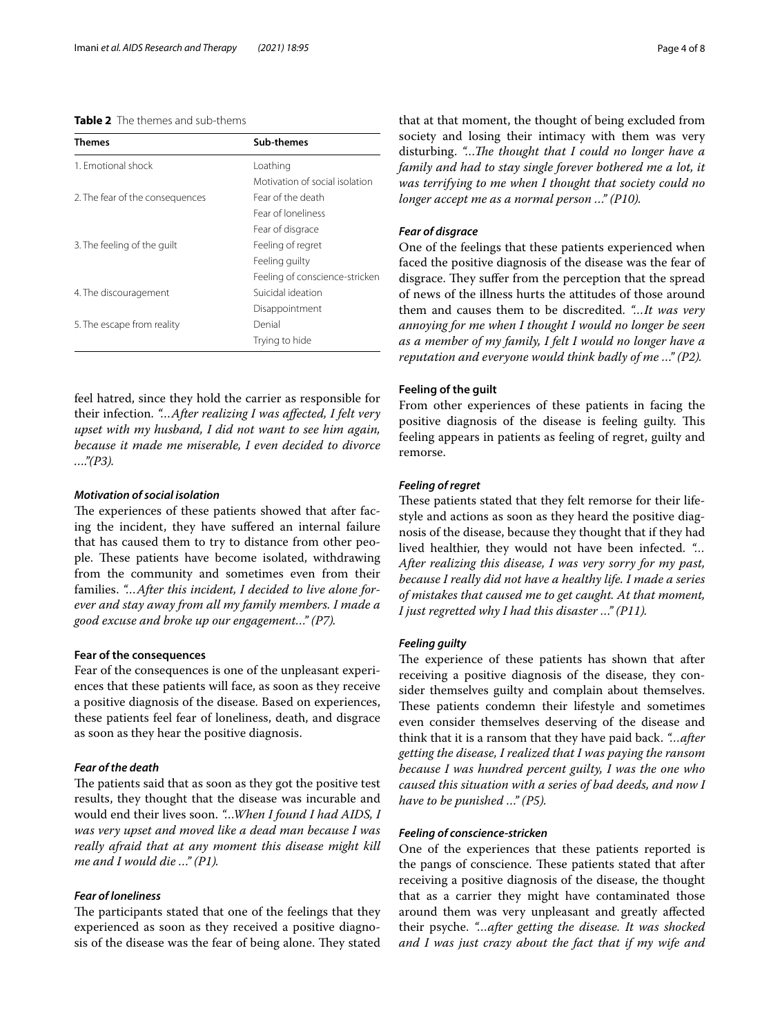# <span id="page-3-0"></span>**Table 2** The themes and sub-thems

| Themes                          | Sub-themes                     |
|---------------------------------|--------------------------------|
| 1. Emotional shock              | Loathing                       |
|                                 | Motivation of social isolation |
| 2. The fear of the consequences | Fear of the death              |
|                                 | Fear of loneliness             |
|                                 | Fear of disgrace               |
| 3. The feeling of the guilt     | Feeling of regret              |
|                                 | Feeling guilty                 |
|                                 | Feeling of conscience-stricken |
| 4. The discouragement           | Suicidal ideation              |
|                                 | Disappointment                 |
| 5. The escape from reality      | Denial                         |
|                                 | Trying to hide                 |

feel hatred, since they hold the carrier as responsible for their infection. *"…After realizing I was afected, I felt very upset with my husband, I did not want to see him again, because it made me miserable, I even decided to divorce …."(P3).*

#### *Motivation of social isolation*

The experiences of these patients showed that after facing the incident, they have sufered an internal failure that has caused them to try to distance from other people. These patients have become isolated, withdrawing from the community and sometimes even from their families. *"…After this incident, I decided to live alone forever and stay away from all my family members. I made a good excuse and broke up our engagement…" (P7).*

### **Fear of the consequences**

Fear of the consequences is one of the unpleasant experiences that these patients will face, as soon as they receive a positive diagnosis of the disease. Based on experiences, these patients feel fear of loneliness, death, and disgrace as soon as they hear the positive diagnosis.

#### *Fear of the death*

The patients said that as soon as they got the positive test results, they thought that the disease was incurable and would end their lives soon. *"…When I found I had AIDS, I was very upset and moved like a dead man because I was really afraid that at any moment this disease might kill me and I would die …" (P1).*

# *Fear of loneliness*

The participants stated that one of the feelings that they experienced as soon as they received a positive diagnosis of the disease was the fear of being alone. They stated that at that moment, the thought of being excluded from society and losing their intimacy with them was very disturbing. *"…Te thought that I could no longer have a family and had to stay single forever bothered me a lot, it was terrifying to me when I thought that society could no longer accept me as a normal person …" (P10).*

## *Fear of disgrace*

One of the feelings that these patients experienced when faced the positive diagnosis of the disease was the fear of disgrace. They suffer from the perception that the spread of news of the illness hurts the attitudes of those around them and causes them to be discredited. *"…It was very annoying for me when I thought I would no longer be seen as a member of my family, I felt I would no longer have a reputation and everyone would think badly of me …" (P2).*

## **Feeling of the guilt**

From other experiences of these patients in facing the positive diagnosis of the disease is feeling guilty. This feeling appears in patients as feeling of regret, guilty and remorse.

#### *Feeling of regret*

These patients stated that they felt remorse for their lifestyle and actions as soon as they heard the positive diagnosis of the disease, because they thought that if they had lived healthier, they would not have been infected. *"… After realizing this disease, I was very sorry for my past, because I really did not have a healthy life. I made a series of mistakes that caused me to get caught. At that moment, I just regretted why I had this disaster …" (P11).*

#### *Feeling guilty*

The experience of these patients has shown that after receiving a positive diagnosis of the disease, they consider themselves guilty and complain about themselves. These patients condemn their lifestyle and sometimes even consider themselves deserving of the disease and think that it is a ransom that they have paid back. *"…after getting the disease, I realized that I was paying the ransom because I was hundred percent guilty, I was the one who caused this situation with a series of bad deeds, and now I have to be punished …" (P5).*

#### *Feeling of conscience‑stricken*

One of the experiences that these patients reported is the pangs of conscience. These patients stated that after receiving a positive diagnosis of the disease, the thought that as a carrier they might have contaminated those around them was very unpleasant and greatly afected their psyche. *"…after getting the disease. It was shocked and I was just crazy about the fact that if my wife and*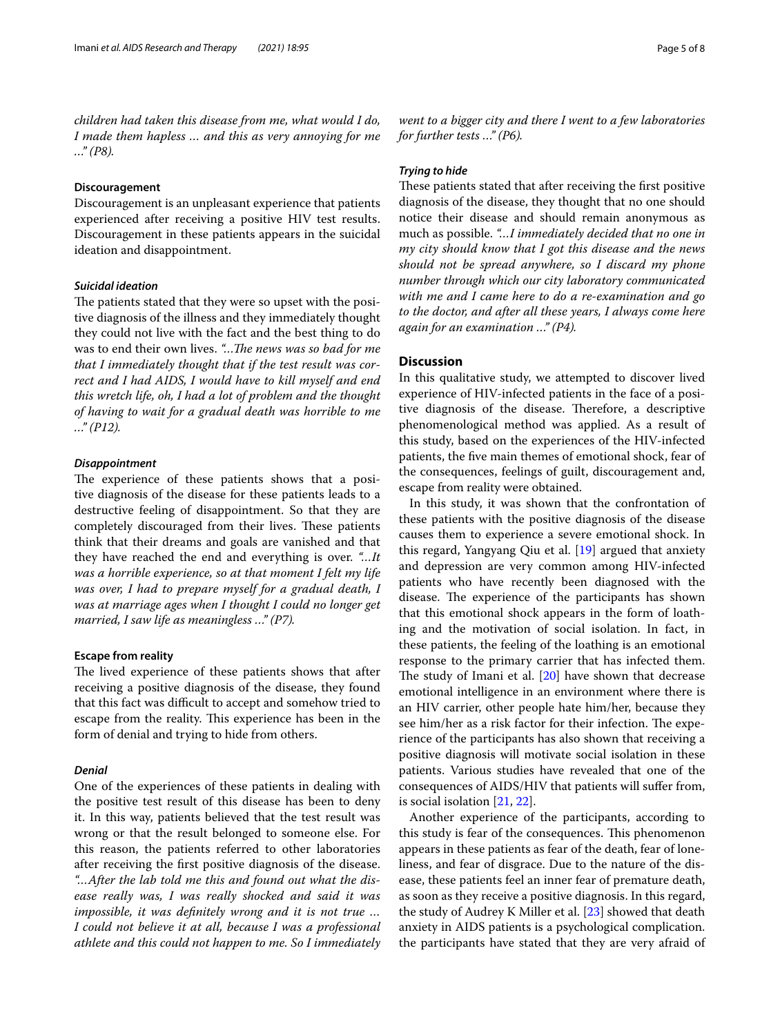*children had taken this disease from me, what would I do, I made them hapless … and this as very annoying for me …" (P8).*

#### **Discouragement**

Discouragement is an unpleasant experience that patients experienced after receiving a positive HIV test results. Discouragement in these patients appears in the suicidal ideation and disappointment.

# *Suicidal ideation*

The patients stated that they were so upset with the positive diagnosis of the illness and they immediately thought they could not live with the fact and the best thing to do was to end their own lives. "...The news was so bad for me *that I immediately thought that if the test result was correct and I had AIDS, I would have to kill myself and end this wretch life, oh, I had a lot of problem and the thought of having to wait for a gradual death was horrible to me …" (P12).*

#### *Disappointment*

The experience of these patients shows that a positive diagnosis of the disease for these patients leads to a destructive feeling of disappointment. So that they are completely discouraged from their lives. These patients think that their dreams and goals are vanished and that they have reached the end and everything is over. *"…It was a horrible experience, so at that moment I felt my life was over, I had to prepare myself for a gradual death, I was at marriage ages when I thought I could no longer get married, I saw life as meaningless …" (P7).*

#### **Escape from reality**

The lived experience of these patients shows that after receiving a positive diagnosis of the disease, they found that this fact was difficult to accept and somehow tried to escape from the reality. This experience has been in the form of denial and trying to hide from others.

#### *Denial*

One of the experiences of these patients in dealing with the positive test result of this disease has been to deny it. In this way, patients believed that the test result was wrong or that the result belonged to someone else. For this reason, the patients referred to other laboratories after receiving the frst positive diagnosis of the disease. *"…After the lab told me this and found out what the disease really was, I was really shocked and said it was impossible, it was defnitely wrong and it is not true … I could not believe it at all, because I was a professional athlete and this could not happen to me. So I immediately* 

*went to a bigger city and there I went to a few laboratories for further tests …" (P6).*

#### *Trying to hide*

These patients stated that after receiving the first positive diagnosis of the disease, they thought that no one should notice their disease and should remain anonymous as much as possible. *"…I immediately decided that no one in my city should know that I got this disease and the news should not be spread anywhere, so I discard my phone number through which our city laboratory communicated with me and I came here to do a re-examination and go to the doctor, and after all these years, I always come here again for an examination …" (P4).*

# **Discussion**

In this qualitative study, we attempted to discover lived experience of HIV-infected patients in the face of a positive diagnosis of the disease. Therefore, a descriptive phenomenological method was applied. As a result of this study, based on the experiences of the HIV-infected patients, the fve main themes of emotional shock, fear of the consequences, feelings of guilt, discouragement and, escape from reality were obtained.

In this study, it was shown that the confrontation of these patients with the positive diagnosis of the disease causes them to experience a severe emotional shock. In this regard, Yangyang Qiu et al. [\[19](#page-6-18)] argued that anxiety and depression are very common among HIV-infected patients who have recently been diagnosed with the disease. The experience of the participants has shown that this emotional shock appears in the form of loathing and the motivation of social isolation. In fact, in these patients, the feeling of the loathing is an emotional response to the primary carrier that has infected them. The study of Imani et al.  $[20]$  $[20]$  have shown that decrease emotional intelligence in an environment where there is an HIV carrier, other people hate him/her, because they see him/her as a risk factor for their infection. The experience of the participants has also shown that receiving a positive diagnosis will motivate social isolation in these patients. Various studies have revealed that one of the consequences of AIDS/HIV that patients will sufer from, is social isolation [[21,](#page-6-20) [22\]](#page-6-21).

Another experience of the participants, according to this study is fear of the consequences. This phenomenon appears in these patients as fear of the death, fear of loneliness, and fear of disgrace. Due to the nature of the disease, these patients feel an inner fear of premature death, as soon as they receive a positive diagnosis. In this regard, the study of Audrey K Miller et al. [\[23](#page-6-22)] showed that death anxiety in AIDS patients is a psychological complication. the participants have stated that they are very afraid of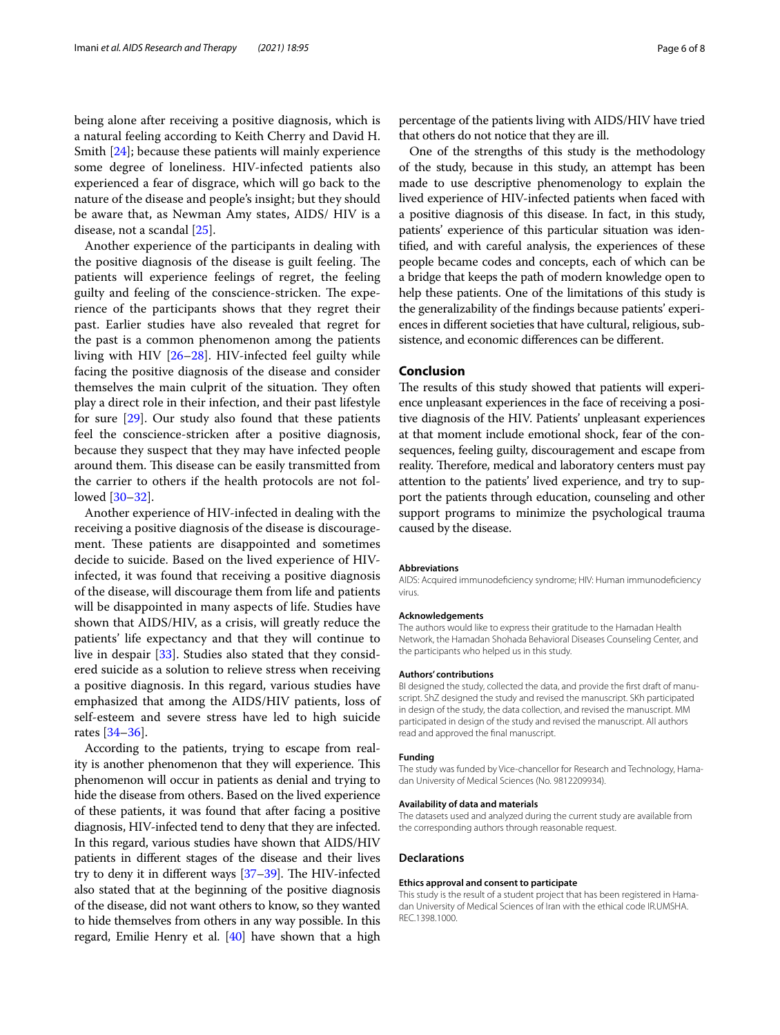being alone after receiving a positive diagnosis, which is a natural feeling according to Keith Cherry and David H. Smith [[24\]](#page-6-23); because these patients will mainly experience some degree of loneliness. HIV-infected patients also experienced a fear of disgrace, which will go back to the nature of the disease and people's insight; but they should be aware that, as Newman Amy states, AIDS/ HIV is a disease, not a scandal [[25](#page-6-24)].

Another experience of the participants in dealing with the positive diagnosis of the disease is guilt feeling. The patients will experience feelings of regret, the feeling guilty and feeling of the conscience-stricken. The experience of the participants shows that they regret their past. Earlier studies have also revealed that regret for the past is a common phenomenon among the patients living with HIV [\[26](#page-6-25)[–28\]](#page-6-26). HIV-infected feel guilty while facing the positive diagnosis of the disease and consider themselves the main culprit of the situation. They often play a direct role in their infection, and their past lifestyle for sure [\[29](#page-6-27)]. Our study also found that these patients feel the conscience-stricken after a positive diagnosis, because they suspect that they may have infected people around them. This disease can be easily transmitted from the carrier to others if the health protocols are not followed [[30](#page-6-28)[–32](#page-6-29)].

Another experience of HIV-infected in dealing with the receiving a positive diagnosis of the disease is discouragement. These patients are disappointed and sometimes decide to suicide. Based on the lived experience of HIVinfected, it was found that receiving a positive diagnosis of the disease, will discourage them from life and patients will be disappointed in many aspects of life. Studies have shown that AIDS/HIV, as a crisis, will greatly reduce the patients' life expectancy and that they will continue to live in despair [[33](#page-6-30)]. Studies also stated that they considered suicide as a solution to relieve stress when receiving a positive diagnosis. In this regard, various studies have emphasized that among the AIDS/HIV patients, loss of self-esteem and severe stress have led to high suicide rates [[34–](#page-6-31)[36](#page-6-32)].

According to the patients, trying to escape from reality is another phenomenon that they will experience. This phenomenon will occur in patients as denial and trying to hide the disease from others. Based on the lived experience of these patients, it was found that after facing a positive diagnosis, HIV-infected tend to deny that they are infected. In this regard, various studies have shown that AIDS/HIV patients in diferent stages of the disease and their lives try to deny it in different ways  $[37-39]$  $[37-39]$  $[37-39]$  $[37-39]$ . The HIV-infected also stated that at the beginning of the positive diagnosis of the disease, did not want others to know, so they wanted to hide themselves from others in any way possible. In this regard, Emilie Henry et al.  $[40]$  have shown that a high percentage of the patients living with AIDS/HIV have tried that others do not notice that they are ill.

One of the strengths of this study is the methodology of the study, because in this study, an attempt has been made to use descriptive phenomenology to explain the lived experience of HIV-infected patients when faced with a positive diagnosis of this disease. In fact, in this study, patients' experience of this particular situation was identifed, and with careful analysis, the experiences of these people became codes and concepts, each of which can be a bridge that keeps the path of modern knowledge open to help these patients. One of the limitations of this study is the generalizability of the fndings because patients' experiences in diferent societies that have cultural, religious, subsistence, and economic diferences can be diferent.

# **Conclusion**

The results of this study showed that patients will experience unpleasant experiences in the face of receiving a positive diagnosis of the HIV. Patients' unpleasant experiences at that moment include emotional shock, fear of the consequences, feeling guilty, discouragement and escape from reality. Therefore, medical and laboratory centers must pay attention to the patients' lived experience, and try to support the patients through education, counseling and other support programs to minimize the psychological trauma caused by the disease.

#### **Abbreviations**

AIDS: Acquired immunodefciency syndrome; HIV: Human immunodefciency virus.

#### **Acknowledgements**

The authors would like to express their gratitude to the Hamadan Health Network, the Hamadan Shohada Behavioral Diseases Counseling Center, and the participants who helped us in this study.

#### **Authors' contributions**

BI designed the study, collected the data, and provide the frst draft of manuscript. ShZ designed the study and revised the manuscript. SKh participated in design of the study, the data collection, and revised the manuscript. MM participated in design of the study and revised the manuscript. All authors read and approved the fnal manuscript.

#### **Funding**

The study was funded by Vice-chancellor for Research and Technology, Hamadan University of Medical Sciences (No. 9812209934).

#### **Availability of data and materials**

The datasets used and analyzed during the current study are available from the corresponding authors through reasonable request.

## **Declarations**

#### **Ethics approval and consent to participate**

This study is the result of a student project that has been registered in Hamadan University of Medical Sciences of Iran with the ethical code IR.UMSHA. REC.1398.1000.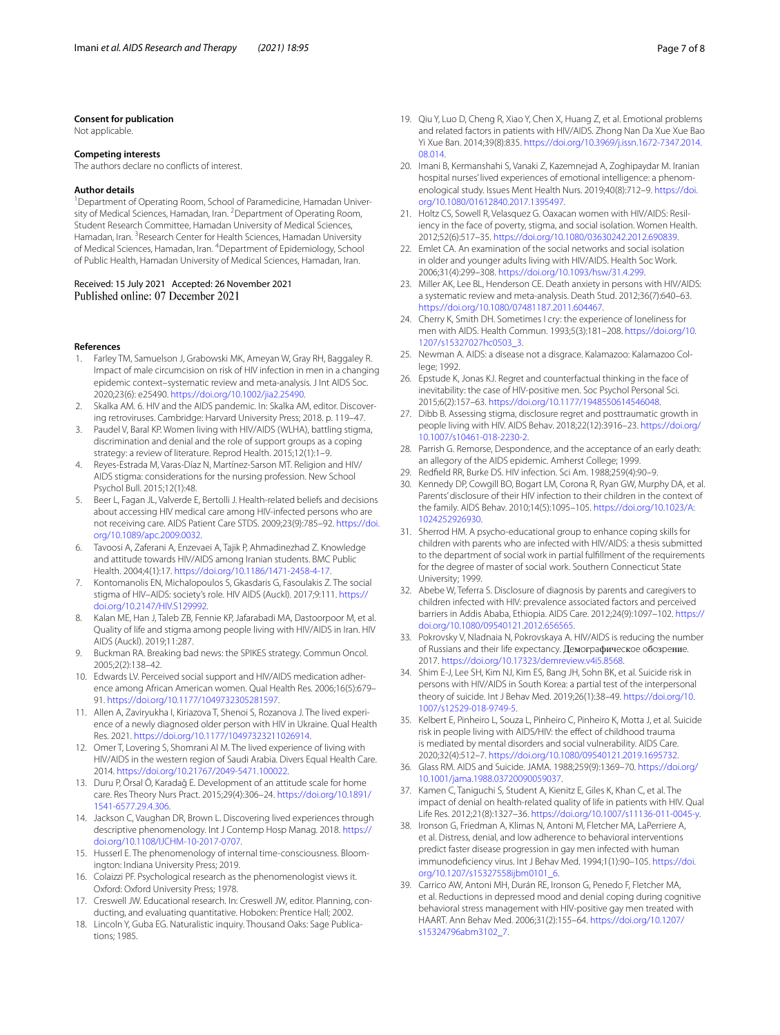#### **Consent for publication**

Not applicable.

#### **Competing interests**

The authors declare no conficts of interest.

#### **Author details**

<sup>1</sup> Department of Operating Room, School of Paramedicine, Hamadan University of Medical Sciences, Hamadan, Iran. <sup>2</sup> Department of Operating Room, Student Research Committee, Hamadan University of Medical Sciences, Hamadan, Iran. <sup>3</sup> Research Center for Health Sciences, Hamadan University of Medical Sciences, Hamadan, Iran. <sup>4</sup> Department of Epidemiology, School of Public Health, Hamadan University of Medical Sciences, Hamadan, Iran.

#### Received: 15 July 2021 Accepted: 26 November 2021 Published online: 07 December 2021

#### **References**

- <span id="page-6-0"></span>1. Farley TM, Samuelson J, Grabowski MK, Ameyan W, Gray RH, Baggaley R. Impact of male circumcision on risk of HIV infection in men in a changing epidemic context–systematic review and meta-analysis. J Int AIDS Soc. 2020;23(6): e25490.<https://doi.org/10.1002/jia2.25490>.
- <span id="page-6-1"></span>2. Skalka AM. 6. HIV and the AIDS pandemic. In: Skalka AM, editor. Discovering retroviruses. Cambridge: Harvard University Press; 2018. p. 119–47.
- <span id="page-6-2"></span>3. Paudel V, Baral KP. Women living with HIV/AIDS (WLHA), battling stigma, discrimination and denial and the role of support groups as a coping strategy: a review of literature. Reprod Health. 2015;12(1):1–9.
- <span id="page-6-3"></span>4. Reyes-Estrada M, Varas-Díaz N, Martínez-Sarson MT. Religion and HIV/ AIDS stigma: considerations for the nursing profession. New School Psychol Bull. 2015;12(1):48.
- <span id="page-6-4"></span>5. Beer L, Fagan JL, Valverde E, Bertolli J. Health-related beliefs and decisions about accessing HIV medical care among HIV-infected persons who are not receiving care. AIDS Patient Care STDS. 2009;23(9):785–92. [https://doi.](https://doi.org/10.1089/apc.2009.0032) [org/10.1089/apc.2009.0032](https://doi.org/10.1089/apc.2009.0032).
- <span id="page-6-5"></span>6. Tavoosi A, Zaferani A, Enzevaei A, Tajik P, Ahmadinezhad Z. Knowledge and attitude towards HIV/AIDS among Iranian students. BMC Public Health. 2004;4(1):17. [https://doi.org/10.1186/1471-2458-4-17.](https://doi.org/10.1186/1471-2458-4-17)
- <span id="page-6-6"></span>7. Kontomanolis EN, Michalopoulos S, Gkasdaris G, Fasoulakis Z. The social stigma of HIV–AIDS: society's role. HIV AIDS (Auckl). 2017;9:111. [https://](https://doi.org/10.2147/HIV.S129992) [doi.org/10.2147/HIV.S129992.](https://doi.org/10.2147/HIV.S129992)
- <span id="page-6-7"></span>8. Kalan ME, Han J, Taleb ZB, Fennie KP, Jafarabadi MA, Dastoorpoor M, et al. Quality of life and stigma among people living with HIV/AIDS in Iran. HIV AIDS (Auckl). 2019;11:287.
- <span id="page-6-8"></span>9. Buckman RA. Breaking bad news: the SPIKES strategy. Commun Oncol. 2005;2(2):138–42.
- <span id="page-6-9"></span>10. Edwards LV. Perceived social support and HIV/AIDS medication adherence among African American women. Qual Health Res. 2006;16(5):679– 91. <https://doi.org/10.1177/1049732305281597>.
- <span id="page-6-10"></span>11. Allen A, Zaviryukha I, Kiriazova T, Shenoi S, Rozanova J. The lived experience of a newly diagnosed older person with HIV in Ukraine. Qual Health Res. 2021.<https://doi.org/10.1177/10497323211026914>.
- <span id="page-6-11"></span>12. Omer T, Lovering S, Shomrani Al M. The lived experience of living with HIV/AIDS in the western region of Saudi Arabia. Divers Equal Health Care. 2014. [https://doi.org/10.21767/2049-5471.100022.](https://doi.org/10.21767/2049-5471.100022)
- <span id="page-6-12"></span>13. Duru P, Örsal Ö, Karadağ E. Development of an attitude scale for home care. Res Theory Nurs Pract. 2015;29(4):306–24. [https://doi.org/10.1891/](https://doi.org/10.1891/1541-6577.29.4.306) [1541-6577.29.4.306](https://doi.org/10.1891/1541-6577.29.4.306).
- <span id="page-6-13"></span>14. Jackson C, Vaughan DR, Brown L. Discovering lived experiences through descriptive phenomenology. Int J Contemp Hosp Manag. 2018. [https://](https://doi.org/10.1108/IJCHM-10-2017-0707) [doi.org/10.1108/IJCHM-10-2017-0707.](https://doi.org/10.1108/IJCHM-10-2017-0707)
- <span id="page-6-14"></span>15. Husserl E. The phenomenology of internal time-consciousness. Bloomington: Indiana University Press; 2019.
- <span id="page-6-15"></span>16. Colaizzi PF. Psychological research as the phenomenologist views it. Oxford: Oxford University Press; 1978.
- <span id="page-6-16"></span>17. Creswell JW. Educational research. In: Creswell JW, editor. Planning, conducting, and evaluating quantitative. Hoboken: Prentice Hall; 2002.
- <span id="page-6-17"></span>18. Lincoln Y, Guba EG. Naturalistic inquiry. Thousand Oaks: Sage Publications; 1985.
- <span id="page-6-18"></span>19. Qiu Y, Luo D, Cheng R, Xiao Y, Chen X, Huang Z, et al. Emotional problems and related factors in patients with HIV/AIDS. Zhong Nan Da Xue Xue Bao Yi Xue Ban. 2014;39(8):835. [https://doi.org/10.3969/j.issn.1672-7347.2014.](https://doi.org/10.3969/j.issn.1672-7347.2014.08.014) [08.014](https://doi.org/10.3969/j.issn.1672-7347.2014.08.014).
- <span id="page-6-19"></span>20. Imani B, Kermanshahi S, Vanaki Z, Kazemnejad A, Zoghipaydar M. Iranian hospital nurses' lived experiences of emotional intelligence: a phenomenological study. Issues Ment Health Nurs. 2019;40(8):712–9. [https://doi.](https://doi.org/10.1080/01612840.2017.1395497) [org/10.1080/01612840.2017.1395497.](https://doi.org/10.1080/01612840.2017.1395497)
- <span id="page-6-20"></span>21. Holtz CS, Sowell R, Velasquez G. Oaxacan women with HIV/AIDS: Resiliency in the face of poverty, stigma, and social isolation. Women Health. 2012;52(6):517–35. <https://doi.org/10.1080/03630242.2012.690839>.
- <span id="page-6-21"></span>22. Emlet CA. An examination of the social networks and social isolation in older and younger adults living with HIV/AIDS. Health Soc Work. 2006;31(4):299–308. [https://doi.org/10.1093/hsw/31.4.299.](https://doi.org/10.1093/hsw/31.4.299)
- <span id="page-6-22"></span>23. Miller AK, Lee BL, Henderson CE. Death anxiety in persons with HIV/AIDS: a systematic review and meta-analysis. Death Stud. 2012;36(7):640–63. <https://doi.org/10.1080/07481187.2011.604467>.
- <span id="page-6-23"></span>24. Cherry K, Smith DH. Sometimes I cry: the experience of loneliness for men with AIDS. Health Commun. 1993;5(3):181–208. [https://doi.org/10.](https://doi.org/10.1207/s15327027hc0503_3) [1207/s15327027hc0503\\_3](https://doi.org/10.1207/s15327027hc0503_3).
- <span id="page-6-24"></span>25. Newman A. AIDS: a disease not a disgrace. Kalamazoo: Kalamazoo College; 1992.
- <span id="page-6-25"></span>26. Epstude K, Jonas KJ. Regret and counterfactual thinking in the face of inevitability: the case of HIV-positive men. Soc Psychol Personal Sci. 2015;6(2):157–63. [https://doi.org/10.1177/1948550614546048.](https://doi.org/10.1177/1948550614546048)
- 27. Dibb B. Assessing stigma, disclosure regret and posttraumatic growth in people living with HIV. AIDS Behav. 2018;22(12):3916–23. [https://doi.org/](https://doi.org/10.1007/s10461-018-2230-2) [10.1007/s10461-018-2230-2.](https://doi.org/10.1007/s10461-018-2230-2)
- <span id="page-6-26"></span>28. Parrish G. Remorse, Despondence, and the acceptance of an early death: an allegory of the AIDS epidemic. Amherst College; 1999.
- <span id="page-6-27"></span>29. Redfeld RR, Burke DS. HIV infection. Sci Am. 1988;259(4):90–9.
- <span id="page-6-28"></span>30. Kennedy DP, Cowgill BO, Bogart LM, Corona R, Ryan GW, Murphy DA, et al. Parents' disclosure of their HIV infection to their children in the context of the family. AIDS Behav. 2010;14(5):1095–105. [https://doi.org/10.1023/A:](https://doi.org/10.1023/A:1024252926930) [1024252926930](https://doi.org/10.1023/A:1024252926930).
- 31. Sherrod HM. A psycho-educational group to enhance coping skills for children with parents who are infected with HIV/AIDS: a thesis submitted to the department of social work in partial fulfllment of the requirements for the degree of master of social work. Southern Connecticut State University; 1999.
- <span id="page-6-29"></span>32. Abebe W, Teferra S. Disclosure of diagnosis by parents and caregivers to children infected with HIV: prevalence associated factors and perceived barriers in Addis Ababa, Ethiopia. AIDS Care. 2012;24(9):1097–102. [https://](https://doi.org/10.1080/09540121.2012.656565) [doi.org/10.1080/09540121.2012.656565.](https://doi.org/10.1080/09540121.2012.656565)
- <span id="page-6-30"></span>33. Pokrovsky V, Nladnaia N, Pokrovskaya A. HIV/AIDS is reducing the number of Russians and their life expectancy. Дeмoгpaфичecкoe oбoзpeниe. 2017. [https://doi.org/10.17323/demreview.v4i5.8568.](https://doi.org/10.17323/demreview.v4i5.8568)
- <span id="page-6-31"></span>34. Shim E-J, Lee SH, Kim NJ, Kim ES, Bang JH, Sohn BK, et al. Suicide risk in persons with HIV/AIDS in South Korea: a partial test of the interpersonal theory of suicide. Int J Behav Med. 2019;26(1):38–49. [https://doi.org/10.](https://doi.org/10.1007/s12529-018-9749-5) [1007/s12529-018-9749-5](https://doi.org/10.1007/s12529-018-9749-5).
- 35. Kelbert E, Pinheiro L, Souza L, Pinheiro C, Pinheiro K, Motta J, et al. Suicide risk in people living with AIDS/HIV: the effect of childhood trauma is mediated by mental disorders and social vulnerability. AIDS Care. 2020;32(4):512–7.<https://doi.org/10.1080/09540121.2019.1695732>.
- <span id="page-6-32"></span>36. Glass RM. AIDS and Suicide. JAMA. 1988;259(9):1369–70. [https://doi.org/](https://doi.org/10.1001/jama.1988.03720090059037) [10.1001/jama.1988.03720090059037.](https://doi.org/10.1001/jama.1988.03720090059037)
- <span id="page-6-33"></span>37. Kamen C, Taniguchi S, Student A, Kienitz E, Giles K, Khan C, et al. The impact of denial on health-related quality of life in patients with HIV. Qual Life Res. 2012;21(8):1327–36. <https://doi.org/10.1007/s11136-011-0045-y>.
- 38. Ironson G, Friedman A, Klimas N, Antoni M, Fletcher MA, LaPerriere A, et al. Distress, denial, and low adherence to behavioral interventions predict faster disease progression in gay men infected with human immunodefciency virus. Int J Behav Med. 1994;1(1):90–105. [https://doi.](https://doi.org/10.1207/s15327558ijbm0101_6) [org/10.1207/s15327558ijbm0101\\_6](https://doi.org/10.1207/s15327558ijbm0101_6).
- <span id="page-6-34"></span>39. Carrico AW, Antoni MH, Durán RE, Ironson G, Penedo F, Fletcher MA, et al. Reductions in depressed mood and denial coping during cognitive behavioral stress management with HIV-positive gay men treated with HAART. Ann Behav Med. 2006;31(2):155–64. [https://doi.org/10.1207/](https://doi.org/10.1207/s15324796abm3102_7) [s15324796abm3102\\_7.](https://doi.org/10.1207/s15324796abm3102_7)